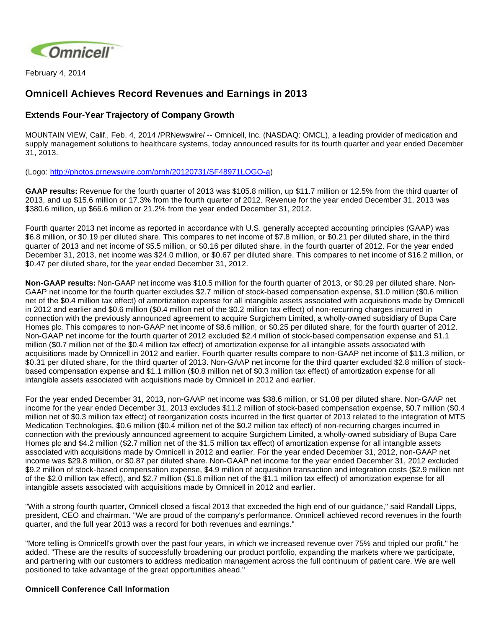

February 4, 2014

# **Omnicell Achieves Record Revenues and Earnings in 2013**

## **Extends Four-Year Trajectory of Company Growth**

MOUNTAIN VIEW, Calif., Feb. 4, 2014 /PRNewswire/ -- Omnicell, Inc. (NASDAQ: OMCL), a leading provider of medication and supply management solutions to healthcare systems, today announced results for its fourth quarter and year ended December 31, 2013.

(Logo: [http://photos.prnewswire.com/prnh/20120731/SF48971LOGO-a\)](http://photos.prnewswire.com/prnh/20120731/SF48971LOGO-a)

**GAAP results:** Revenue for the fourth quarter of 2013 was \$105.8 million, up \$11.7 million or 12.5% from the third quarter of 2013, and up \$15.6 million or 17.3% from the fourth quarter of 2012. Revenue for the year ended December 31, 2013 was \$380.6 million, up \$66.6 million or 21.2% from the year ended December 31, 2012.

Fourth quarter 2013 net income as reported in accordance with U.S. generally accepted accounting principles (GAAP) was \$6.8 million, or \$0.19 per diluted share. This compares to net income of \$7.8 million, or \$0.21 per diluted share, in the third quarter of 2013 and net income of \$5.5 million, or \$0.16 per diluted share, in the fourth quarter of 2012. For the year ended December 31, 2013, net income was \$24.0 million, or \$0.67 per diluted share. This compares to net income of \$16.2 million, or \$0.47 per diluted share, for the year ended December 31, 2012.

**Non-GAAP results:** Non-GAAP net income was \$10.5 million for the fourth quarter of 2013, or \$0.29 per diluted share. Non-GAAP net income for the fourth quarter excludes \$2.7 million of stock-based compensation expense, \$1.0 million (\$0.6 million net of the \$0.4 million tax effect) of amortization expense for all intangible assets associated with acquisitions made by Omnicell in 2012 and earlier and \$0.6 million (\$0.4 million net of the \$0.2 million tax effect) of non-recurring charges incurred in connection with the previously announced agreement to acquire Surgichem Limited, a wholly-owned subsidiary of Bupa Care Homes plc. This compares to non-GAAP net income of \$8.6 million, or \$0.25 per diluted share, for the fourth quarter of 2012. Non-GAAP net income for the fourth quarter of 2012 excluded \$2.4 million of stock-based compensation expense and \$1.1 million (\$0.7 million net of the \$0.4 million tax effect) of amortization expense for all intangible assets associated with acquisitions made by Omnicell in 2012 and earlier. Fourth quarter results compare to non-GAAP net income of \$11.3 million, or \$0.31 per diluted share, for the third quarter of 2013. Non-GAAP net income for the third quarter excluded \$2.8 million of stockbased compensation expense and \$1.1 million (\$0.8 million net of \$0.3 million tax effect) of amortization expense for all intangible assets associated with acquisitions made by Omnicell in 2012 and earlier.

For the year ended December 31, 2013, non-GAAP net income was \$38.6 million, or \$1.08 per diluted share. Non-GAAP net income for the year ended December 31, 2013 excludes \$11.2 million of stock-based compensation expense, \$0.7 million (\$0.4 million net of \$0.3 million tax effect) of reorganization costs incurred in the first quarter of 2013 related to the integration of MTS Medication Technologies, \$0.6 million (\$0.4 million net of the \$0.2 million tax effect) of non-recurring charges incurred in connection with the previously announced agreement to acquire Surgichem Limited, a wholly-owned subsidiary of Bupa Care Homes plc and \$4.2 million (\$2.7 million net of the \$1.5 million tax effect) of amortization expense for all intangible assets associated with acquisitions made by Omnicell in 2012 and earlier. For the year ended December 31, 2012, non-GAAP net income was \$29.8 million, or \$0.87 per diluted share. Non-GAAP net income for the year ended December 31, 2012 excluded \$9.2 million of stock-based compensation expense, \$4.9 million of acquisition transaction and integration costs (\$2.9 million net of the \$2.0 million tax effect), and \$2.7 million (\$1.6 million net of the \$1.1 million tax effect) of amortization expense for all intangible assets associated with acquisitions made by Omnicell in 2012 and earlier.

"With a strong fourth quarter, Omnicell closed a fiscal 2013 that exceeded the high end of our guidance," said Randall Lipps, president, CEO and chairman. "We are proud of the company's performance. Omnicell achieved record revenues in the fourth quarter, and the full year 2013 was a record for both revenues and earnings."

"More telling is Omnicell's growth over the past four years, in which we increased revenue over 75% and tripled our profit," he added. "These are the results of successfully broadening our product portfolio, expanding the markets where we participate, and partnering with our customers to address medication management across the full continuum of patient care. We are well positioned to take advantage of the great opportunities ahead."

### **Omnicell Conference Call Information**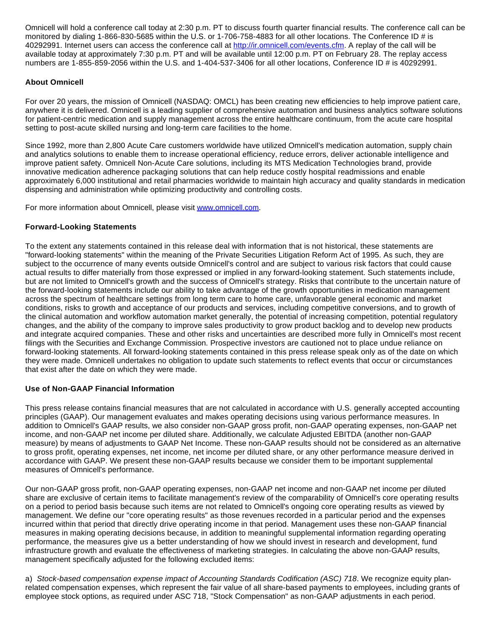Omnicell will hold a conference call today at 2:30 p.m. PT to discuss fourth quarter financial results. The conference call can be monitored by dialing 1-866-830-5685 within the U.S. or 1-706-758-4883 for all other locations. The Conference ID # is 40292991. Internet users can access the conference call at [http://ir.omnicell.com/events.cfm.](http://ir.omnicell.com/events.cfm) A replay of the call will be available today at approximately 7:30 p.m. PT and will be available until 12:00 p.m. PT on February 28. The replay access numbers are 1-855-859-2056 within the U.S. and 1-404-537-3406 for all other locations, Conference ID # is 40292991.

## **About Omnicell**

For over 20 years, the mission of Omnicell (NASDAQ: OMCL) has been creating new efficiencies to help improve patient care, anywhere it is delivered. Omnicell is a leading supplier of comprehensive automation and business analytics software solutions for patient-centric medication and supply management across the entire healthcare continuum, from the acute care hospital setting to post-acute skilled nursing and long-term care facilities to the home.

Since 1992, more than 2,800 Acute Care customers worldwide have utilized Omnicell's medication automation, supply chain and analytics solutions to enable them to increase operational efficiency, reduce errors, deliver actionable intelligence and improve patient safety. Omnicell Non-Acute Care solutions, including its MTS Medication Technologies brand, provide innovative medication adherence packaging solutions that can help reduce costly hospital readmissions and enable approximately 6,000 institutional and retail pharmacies worldwide to maintain high accuracy and quality standards in medication dispensing and administration while optimizing productivity and controlling costs.

For more information about Omnicell, please visit [www.omnicell.com](http://www.omnicell.com/).

## **Forward-Looking Statements**

To the extent any statements contained in this release deal with information that is not historical, these statements are "forward-looking statements" within the meaning of the Private Securities Litigation Reform Act of 1995. As such, they are subject to the occurrence of many events outside Omnicell's control and are subject to various risk factors that could cause actual results to differ materially from those expressed or implied in any forward-looking statement. Such statements include, but are not limited to Omnicell's growth and the success of Omnicell's strategy. Risks that contribute to the uncertain nature of the forward-looking statements include our ability to take advantage of the growth opportunities in medication management across the spectrum of healthcare settings from long term care to home care, unfavorable general economic and market conditions, risks to growth and acceptance of our products and services, including competitive conversions, and to growth of the clinical automation and workflow automation market generally, the potential of increasing competition, potential regulatory changes, and the ability of the company to improve sales productivity to grow product backlog and to develop new products and integrate acquired companies. These and other risks and uncertainties are described more fully in Omnicell's most recent filings with the Securities and Exchange Commission. Prospective investors are cautioned not to place undue reliance on forward-looking statements. All forward-looking statements contained in this press release speak only as of the date on which they were made. Omnicell undertakes no obligation to update such statements to reflect events that occur or circumstances that exist after the date on which they were made.

## **Use of Non-GAAP Financial Information**

This press release contains financial measures that are not calculated in accordance with U.S. generally accepted accounting principles (GAAP). Our management evaluates and makes operating decisions using various performance measures. In addition to Omnicell's GAAP results, we also consider non-GAAP gross profit, non-GAAP operating expenses, non-GAAP net income, and non-GAAP net income per diluted share. Additionally, we calculate Adjusted EBITDA (another non-GAAP measure) by means of adjustments to GAAP Net Income. These non-GAAP results should not be considered as an alternative to gross profit, operating expenses, net income, net income per diluted share, or any other performance measure derived in accordance with GAAP. We present these non-GAAP results because we consider them to be important supplemental measures of Omnicell's performance.

Our non-GAAP gross profit, non-GAAP operating expenses, non-GAAP net income and non-GAAP net income per diluted share are exclusive of certain items to facilitate management's review of the comparability of Omnicell's core operating results on a period to period basis because such items are not related to Omnicell's ongoing core operating results as viewed by management. We define our "core operating results" as those revenues recorded in a particular period and the expenses incurred within that period that directly drive operating income in that period. Management uses these non-GAAP financial measures in making operating decisions because, in addition to meaningful supplemental information regarding operating performance, the measures give us a better understanding of how we should invest in research and development, fund infrastructure growth and evaluate the effectiveness of marketing strategies. In calculating the above non-GAAP results, management specifically adjusted for the following excluded items:

a) Stock-based compensation expense impact of Accounting Standards Codification (ASC) 718. We recognize equity planrelated compensation expenses, which represent the fair value of all share-based payments to employees, including grants of employee stock options, as required under ASC 718, "Stock Compensation" as non-GAAP adjustments in each period.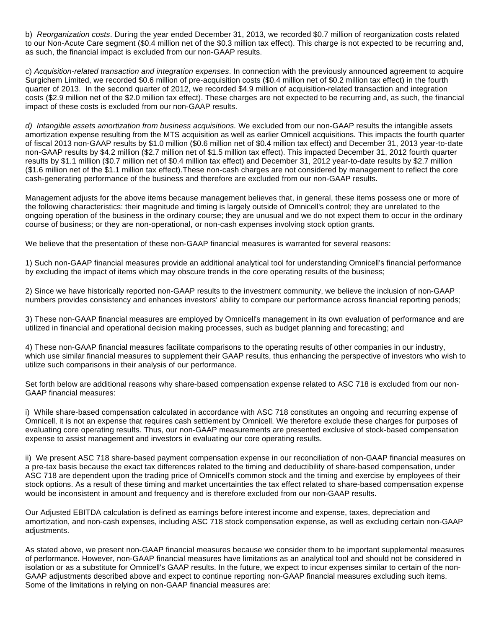b) Reorganization costs. During the year ended December 31, 2013, we recorded \$0.7 million of reorganization costs related to our Non-Acute Care segment (\$0.4 million net of the \$0.3 million tax effect). This charge is not expected to be recurring and, as such, the financial impact is excluded from our non-GAAP results.

c) Acquisition-related transaction and integration expenses. In connection with the previously announced agreement to acquire Surgichem Limited, we recorded \$0.6 million of pre-acquisition costs (\$0.4 million net of \$0.2 million tax effect) in the fourth quarter of 2013. In the second quarter of 2012, we recorded \$4.9 million of acquisition-related transaction and integration costs (\$2.9 million net of the \$2.0 million tax effect). These charges are not expected to be recurring and, as such, the financial impact of these costs is excluded from our non-GAAP results.

d) Intangible assets amortization from business acquisitions. We excluded from our non-GAAP results the intangible assets amortization expense resulting from the MTS acquisition as well as earlier Omnicell acquisitions. This impacts the fourth quarter of fiscal 2013 non-GAAP results by \$1.0 million (\$0.6 million net of \$0.4 million tax effect) and December 31, 2013 year-to-date non-GAAP results by \$4.2 million (\$2.7 million net of \$1.5 million tax effect). This impacted December 31, 2012 fourth quarter results by \$1.1 million (\$0.7 million net of \$0.4 million tax effect) and December 31, 2012 year-to-date results by \$2.7 million (\$1.6 million net of the \$1.1 million tax effect).These non-cash charges are not considered by management to reflect the core cash-generating performance of the business and therefore are excluded from our non-GAAP results.

Management adjusts for the above items because management believes that, in general, these items possess one or more of the following characteristics: their magnitude and timing is largely outside of Omnicell's control; they are unrelated to the ongoing operation of the business in the ordinary course; they are unusual and we do not expect them to occur in the ordinary course of business; or they are non-operational, or non-cash expenses involving stock option grants.

We believe that the presentation of these non-GAAP financial measures is warranted for several reasons:

1) Such non-GAAP financial measures provide an additional analytical tool for understanding Omnicell's financial performance by excluding the impact of items which may obscure trends in the core operating results of the business;

2) Since we have historically reported non-GAAP results to the investment community, we believe the inclusion of non-GAAP numbers provides consistency and enhances investors' ability to compare our performance across financial reporting periods;

3) These non-GAAP financial measures are employed by Omnicell's management in its own evaluation of performance and are utilized in financial and operational decision making processes, such as budget planning and forecasting; and

4) These non-GAAP financial measures facilitate comparisons to the operating results of other companies in our industry, which use similar financial measures to supplement their GAAP results, thus enhancing the perspective of investors who wish to utilize such comparisons in their analysis of our performance.

Set forth below are additional reasons why share-based compensation expense related to ASC 718 is excluded from our non-GAAP financial measures:

i) While share-based compensation calculated in accordance with ASC 718 constitutes an ongoing and recurring expense of Omnicell, it is not an expense that requires cash settlement by Omnicell. We therefore exclude these charges for purposes of evaluating core operating results. Thus, our non-GAAP measurements are presented exclusive of stock-based compensation expense to assist management and investors in evaluating our core operating results.

ii) We present ASC 718 share-based payment compensation expense in our reconciliation of non-GAAP financial measures on a pre-tax basis because the exact tax differences related to the timing and deductibility of share-based compensation, under ASC 718 are dependent upon the trading price of Omnicell's common stock and the timing and exercise by employees of their stock options. As a result of these timing and market uncertainties the tax effect related to share-based compensation expense would be inconsistent in amount and frequency and is therefore excluded from our non-GAAP results.

Our Adjusted EBITDA calculation is defined as earnings before interest income and expense, taxes, depreciation and amortization, and non-cash expenses, including ASC 718 stock compensation expense, as well as excluding certain non-GAAP adjustments.

As stated above, we present non-GAAP financial measures because we consider them to be important supplemental measures of performance. However, non-GAAP financial measures have limitations as an analytical tool and should not be considered in isolation or as a substitute for Omnicell's GAAP results. In the future, we expect to incur expenses similar to certain of the non-GAAP adjustments described above and expect to continue reporting non-GAAP financial measures excluding such items. Some of the limitations in relying on non-GAAP financial measures are: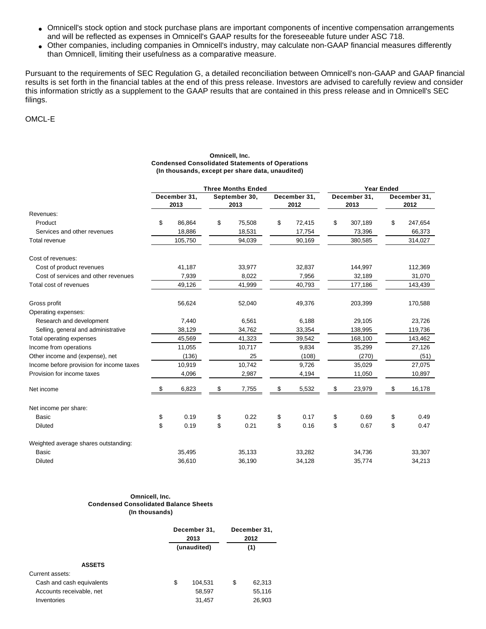- Omnicell's stock option and stock purchase plans are important components of incentive compensation arrangements and will be reflected as expenses in Omnicell's GAAP results for the foreseeable future under ASC 718.
- Other companies, including companies in Omnicell's industry, may calculate non-GAAP financial measures differently than Omnicell, limiting their usefulness as a comparative measure.

Pursuant to the requirements of SEC Regulation G, a detailed reconciliation between Omnicell's non-GAAP and GAAP financial results is set forth in the financial tables at the end of this press release. Investors are advised to carefully review and consider this information strictly as a supplement to the GAAP results that are contained in this press release and in Omnicell's SEC filings.

OMCL-E

#### **Omnicell, Inc. Condensed Consolidated Statements of Operations (In thousands, except per share data, unaudited)**

|                                          |                      | <b>Three Months Ended</b> |                      |                      | <b>Year Ended</b> |                      |
|------------------------------------------|----------------------|---------------------------|----------------------|----------------------|-------------------|----------------------|
|                                          | December 31,<br>2013 | September 30,<br>2013     | December 31,<br>2012 | December 31,<br>2013 |                   | December 31,<br>2012 |
| Revenues:                                |                      |                           |                      |                      |                   |                      |
| Product                                  | \$<br>86,864         | \$<br>75,508              | \$<br>72,415         | \$<br>307,189        | \$                | 247,654              |
| Services and other revenues              | 18,886               | 18,531                    | 17,754               | 73,396               |                   | 66,373               |
| Total revenue                            | 105,750              | 94,039                    | 90,169               | 380,585              |                   | 314,027              |
| Cost of revenues:                        |                      |                           |                      |                      |                   |                      |
| Cost of product revenues                 | 41,187               | 33,977                    | 32,837               | 144,997              |                   | 112,369              |
| Cost of services and other revenues      | 7,939                | 8,022                     | 7,956                | 32,189               |                   | 31,070               |
| Total cost of revenues                   | 49,126               | 41,999                    | 40,793               | 177,186              |                   | 143,439              |
| Gross profit                             | 56,624               | 52,040                    | 49,376               | 203,399              |                   | 170,588              |
| Operating expenses:                      |                      |                           |                      |                      |                   |                      |
| Research and development                 | 7,440                | 6,561                     | 6,188                | 29,105               |                   | 23,726               |
| Selling, general and administrative      | 38,129               | 34,762                    | 33,354               | 138,995              |                   | 119,736              |
| Total operating expenses                 | 45,569               | 41,323                    | 39,542               | 168,100              |                   | 143,462              |
| Income from operations                   | 11,055               | 10,717                    | 9,834                | 35,299               |                   | 27,126               |
| Other income and (expense), net          | (136)                | 25                        | (108)                | (270)                |                   | (51)                 |
| Income before provision for income taxes | 10,919               | 10,742                    | 9,726                | 35,029               |                   | 27,075               |
| Provision for income taxes               | 4,096                | 2,987                     | 4,194                | 11,050               |                   | 10,897               |
| Net income                               | \$<br>6,823          | \$<br>7,755               | \$<br>5,532          | \$<br>23,979         | \$                | 16,178               |
| Net income per share:                    |                      |                           |                      |                      |                   |                      |
| Basic                                    | \$<br>0.19           | \$<br>0.22                | \$<br>0.17           | \$<br>0.69           | \$                | 0.49                 |
| <b>Diluted</b>                           | \$<br>0.19           | \$<br>0.21                | \$<br>0.16           | \$<br>0.67           | \$                | 0.47                 |
| Weighted average shares outstanding:     |                      |                           |                      |                      |                   |                      |
| <b>Basic</b>                             | 35,495               | 35,133                    | 33,282               | 34,736               |                   | 33,307               |
| <b>Diluted</b>                           | 36,610               | 36,190                    | 34,128               | 35,774               |                   | 34,213               |

#### **Omnicell, Inc. Condensed Consolidated Balance Sheets (In thousands)**

|                           | December 31,<br>2013 | December 31,<br>2012 |        |  |  |
|---------------------------|----------------------|----------------------|--------|--|--|
|                           | (unaudited)          |                      |        |  |  |
| <b>ASSETS</b>             |                      |                      |        |  |  |
| Current assets:           |                      |                      |        |  |  |
| Cash and cash equivalents | \$<br>104,531        | \$                   | 62,313 |  |  |
| Accounts receivable, net  | 58,597               |                      | 55,116 |  |  |
| Inventories               | 31,457               |                      | 26,903 |  |  |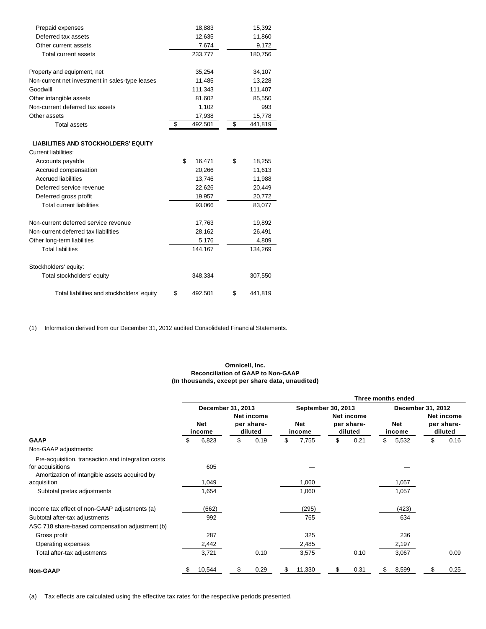| Prepaid expenses                                | 18,883        | 15,392        |
|-------------------------------------------------|---------------|---------------|
| Deferred tax assets                             | 12,635        | 11,860        |
| Other current assets                            | 7,674         | 9,172         |
| Total current assets                            | 233,777       | 180,756       |
| Property and equipment, net                     | 35,254        | 34,107        |
| Non-current net investment in sales-type leases | 11,485        | 13,228        |
| Goodwill                                        | 111,343       | 111,407       |
| Other intangible assets                         | 81,602        | 85,550        |
| Non-current deferred tax assets                 | 1,102         | 993           |
| Other assets                                    | 17,938        | 15,778        |
| <b>Total assets</b>                             | \$<br>492,501 | \$<br>441,819 |
| <b>LIABILITIES AND STOCKHOLDERS' EQUITY</b>     |               |               |
| <b>Current liabilities:</b>                     |               |               |
| Accounts payable                                | \$<br>16,471  | \$<br>18,255  |
| Accrued compensation                            | 20,266        | 11,613        |
| <b>Accrued liabilities</b>                      | 13,746        | 11,988        |
| Deferred service revenue                        | 22,626        | 20,449        |
| Deferred gross profit                           | 19,957        | 20,772        |
| <b>Total current liabilities</b>                | 93,066        | 83,077        |
| Non-current deferred service revenue            | 17,763        | 19,892        |
| Non-current deferred tax liabilities            | 28,162        | 26,491        |
| Other long-term liabilities                     | 5,176         | 4,809         |
| <b>Total liabilities</b>                        | 144,167       | 134,269       |
| Stockholders' equity:                           |               |               |
| Total stockholders' equity                      | 348,334       | 307,550       |
| Total liabilities and stockholders' equity      | \$<br>492,501 | \$<br>441,819 |

(1) Information derived from our December 31, 2012 audited Consolidated Financial Statements.

#### **Omnicell, Inc. Reconciliation of GAAP to Non-GAAP (In thousands, except per share data, unaudited)**

|                                                                                                                         |    |                      |                                     | Three months ended |                           |    |                                     |    |                      |    |                                     |  |  |
|-------------------------------------------------------------------------------------------------------------------------|----|----------------------|-------------------------------------|--------------------|---------------------------|----|-------------------------------------|----|----------------------|----|-------------------------------------|--|--|
|                                                                                                                         |    | December 31, 2013    |                                     |                    | <b>September 30, 2013</b> |    |                                     |    |                      |    | December 31, 2012                   |  |  |
|                                                                                                                         |    | <b>Net</b><br>income | Net income<br>per share-<br>diluted |                    | <b>Net</b><br>income      |    | Net income<br>per share-<br>diluted |    | <b>Net</b><br>income |    | Net income<br>per share-<br>diluted |  |  |
| <b>GAAP</b>                                                                                                             | \$ | 6,823                | \$<br>0.19                          | \$                 | 7,755                     | \$ | 0.21                                | \$ | 5,532                | \$ | 0.16                                |  |  |
| Non-GAAP adjustments:                                                                                                   |    |                      |                                     |                    |                           |    |                                     |    |                      |    |                                     |  |  |
| Pre-acquisition, transaction and integration costs<br>for acquisitions<br>Amortization of intangible assets acquired by |    | 605                  |                                     |                    |                           |    |                                     |    |                      |    |                                     |  |  |
| acquisition                                                                                                             |    | 1,049                |                                     |                    | 1,060                     |    |                                     |    | 1,057                |    |                                     |  |  |
| Subtotal pretax adjustments                                                                                             |    | 1,654                |                                     |                    | 1,060                     |    |                                     |    | 1,057                |    |                                     |  |  |
| Income tax effect of non-GAAP adjustments (a)                                                                           |    | (662)                |                                     |                    | (295)                     |    |                                     |    | (423)                |    |                                     |  |  |
| Subtotal after-tax adjustments                                                                                          |    | 992                  |                                     |                    | 765                       |    |                                     |    | 634                  |    |                                     |  |  |
| ASC 718 share-based compensation adjustment (b)                                                                         |    |                      |                                     |                    |                           |    |                                     |    |                      |    |                                     |  |  |
| Gross profit                                                                                                            |    | 287                  |                                     |                    | 325                       |    |                                     |    | 236                  |    |                                     |  |  |
| Operating expenses                                                                                                      |    | 2,442                |                                     |                    | 2,485                     |    |                                     |    | 2,197                |    |                                     |  |  |
| Total after-tax adjustments                                                                                             |    | 3,721                | 0.10                                |                    | 3,575                     |    | 0.10                                |    | 3,067                |    | 0.09                                |  |  |
| <b>Non-GAAP</b>                                                                                                         | S  | 10,544               | \$<br>0.29                          | \$                 | 11,330                    | \$ | 0.31                                | \$ | 8,599                | S  | 0.25                                |  |  |

(a) Tax effects are calculated using the effective tax rates for the respective periods presented.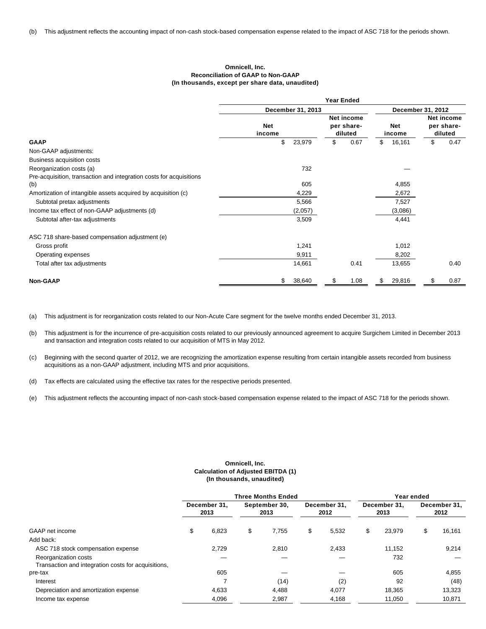#### **Omnicell, Inc. Reconciliation of GAAP to Non-GAAP (In thousands, except per share data, unaudited)**

|                                                                     |                      |         |    | <b>Year Ended</b>                   |    |                      |    |                                     |  |
|---------------------------------------------------------------------|----------------------|---------|----|-------------------------------------|----|----------------------|----|-------------------------------------|--|
|                                                                     | December 31, 2013    |         |    |                                     |    | December 31, 2012    |    |                                     |  |
|                                                                     | <b>Net</b><br>income |         |    | Net income<br>per share-<br>diluted |    | <b>Net</b><br>income |    | Net income<br>per share-<br>diluted |  |
| <b>GAAP</b>                                                         | \$                   | 23,979  | \$ | 0.67                                | \$ | 16,161               | \$ | 0.47                                |  |
| Non-GAAP adjustments:                                               |                      |         |    |                                     |    |                      |    |                                     |  |
| Business acquisition costs                                          |                      |         |    |                                     |    |                      |    |                                     |  |
| Reorganization costs (a)                                            |                      | 732     |    |                                     |    |                      |    |                                     |  |
| Pre-acquisition, transaction and integration costs for acquisitions |                      |         |    |                                     |    |                      |    |                                     |  |
| (b)                                                                 |                      | 605     |    |                                     |    | 4,855                |    |                                     |  |
| Amortization of intangible assets acquired by acquisition (c)       |                      | 4,229   |    |                                     |    | 2,672                |    |                                     |  |
| Subtotal pretax adjustments                                         |                      | 5,566   |    |                                     |    | 7,527                |    |                                     |  |
| Income tax effect of non-GAAP adjustments (d)                       |                      | (2,057) |    |                                     |    | (3,086)              |    |                                     |  |
| Subtotal after-tax adjustments                                      |                      | 3,509   |    |                                     |    | 4,441                |    |                                     |  |
| ASC 718 share-based compensation adjustment (e)                     |                      |         |    |                                     |    |                      |    |                                     |  |
| Gross profit                                                        |                      | 1,241   |    |                                     |    | 1,012                |    |                                     |  |
| Operating expenses                                                  |                      | 9,911   |    |                                     |    | 8,202                |    |                                     |  |
| Total after tax adjustments                                         |                      | 14,661  |    | 0.41                                |    | 13,655               |    | 0.40                                |  |
| <b>Non-GAAP</b>                                                     | \$                   | 38,640  | S  | 1.08                                | S  | 29,816               |    | 0.87                                |  |

(a) This adjustment is for reorganization costs related to our Non-Acute Care segment for the twelve months ended December 31, 2013.

(b) This adjustment is for the incurrence of pre-acquisition costs related to our previously announced agreement to acquire Surgichem Limited in December 2013 and transaction and integration costs related to our acquisition of MTS in May 2012.

- (c) Beginning with the second quarter of 2012, we are recognizing the amortization expense resulting from certain intangible assets recorded from business acquisitions as a non-GAAP adjustment, including MTS and prior acquisitions.
- (d) Tax effects are calculated using the effective tax rates for the respective periods presented.
- (e) This adjustment reflects the accounting impact of non-cash stock-based compensation expense related to the impact of ASC 718 for the periods shown.

#### **Omnicell, Inc. Calculation of Adjusted EBITDA (1) (In thousands, unaudited)**

|                                                     |                      |       |                       | <b>Three Months Ended</b> |                      |       | December 31,<br>2013<br>\$<br>23,979 |        | Year ended           |        |  |
|-----------------------------------------------------|----------------------|-------|-----------------------|---------------------------|----------------------|-------|--------------------------------------|--------|----------------------|--------|--|
|                                                     | December 31.<br>2013 |       | September 30,<br>2013 |                           | December 31.<br>2012 |       |                                      |        | December 31,<br>2012 |        |  |
| GAAP net income                                     | \$                   | 6,823 | \$                    | 7,755                     | \$                   | 5,532 |                                      |        | \$                   | 16,161 |  |
| Add back:                                           |                      |       |                       |                           |                      |       |                                      |        |                      |        |  |
| ASC 718 stock compensation expense                  |                      | 2,729 |                       | 2,810                     |                      | 2,433 |                                      | 11,152 |                      | 9,214  |  |
| Reorganization costs                                |                      |       |                       |                           |                      |       |                                      | 732    |                      |        |  |
| Transaction and integration costs for acquisitions, |                      |       |                       |                           |                      |       |                                      |        |                      |        |  |
| pre-tax                                             |                      | 605   |                       |                           |                      |       |                                      | 605    |                      | 4,855  |  |
| Interest                                            |                      |       |                       | (14)                      |                      | (2)   |                                      | 92     |                      | (48)   |  |
| Depreciation and amortization expense               |                      | 4,633 |                       | 4,488                     |                      | 4,077 |                                      | 18,365 |                      | 13,323 |  |
| Income tax expense                                  |                      | 4,096 |                       | 2,987                     |                      | 4,168 |                                      | 11,050 |                      | 10,871 |  |